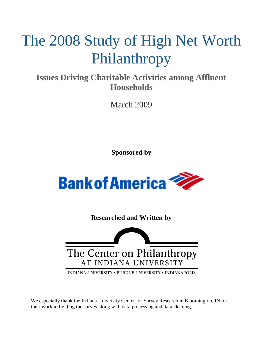# The 2008 Study of High Net Worth Philanthropy

**Issues Driving Charitable Activities among Affluent Households**

March 2009

**Sponsored by**



**Researched and Written by**



INDIANA UNIVERSITY . PURDUE UNIVERSITY . INDIANAPOLIS

We especially thank the Indiana University Center for Survey Research in Bloomington, IN for their work in fielding the survey along with data processing and data cleaning.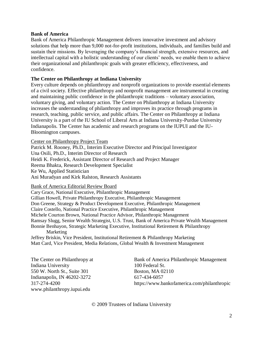#### **Bank of America**

Bank of America Philanthropic Management delivers innovative investment and advisory solutions that help more than 9,000 not-for-profit institutions, individuals, and families build and sustain their missions. By leveraging the company's financial strength, extensive resources, and intellectual capital with a holistic understanding of our clients' needs, we enable them to achieve their organizational and philanthropic goals with greater efficiency, effectiveness, and confidence.

#### **The Center on Philanthropy at Indiana University**

Every culture depends on philanthropy and nonprofit organizations to provide essential elements of a civil society. Effective philanthropy and nonprofit management are instrumental in creating and maintaining public confidence in the philanthropic traditions – voluntary association, voluntary giving, and voluntary action. The Center on Philanthropy at Indiana University increases the understanding of philanthropy and improves its practice through programs in research, teaching, public service, and public affairs. The Center on Philanthropy at Indiana University is a part of the IU School of Liberal Arts at Indiana University-Purdue University Indianapolis. The Center has academic and research programs on the IUPUI and the IU-Bloomington campuses.

Center on Philanthropy Project Team

Patrick M. Rooney, Ph.D., Interim Executive Director and Principal Investigator Una Osili, Ph.D., Interim Director of Research Heidi K. Frederick, Assistant Director of Research and Project Manager Reema Bhakta, Research Development Specialist Ke Wu, Applied Statistician Ani Muradyan and Kirk Ralston, Research Assistants

Bank of America Editorial Review Board

Cary Grace, National Executive, Philanthropic Management Gillian Howell, Private Philanthropy Executive, Philanthropic Management Don Greene, Strategy & Product Development Executive, Philanthropic Management Claire Costello, National Practice Executive, Philanthropic Management Michele Courton Brown, National Practice Advisor, Philanthropic Management Ramsay Slugg, Senior Wealth Strategist, U.S. Trust, Bank of America Private Wealth Management Bonnie Benhayon, Strategic Marketing Executive, Institutional Retirement & Philanthropy Marketing Jeffrey Briskin, Vice President, Institutional Retirement & Philanthropy Marketing

Matt Card, Vice President, Media Relations, Global Wealth & Investment Management

Indiana University 100 Federal St. 550 W. North St., Suite 301 Boston, MA 02110 Indianapolis, IN 46202-3272 617-434-6057 www.philanthropy.iupui.edu

The Center on Philanthropy at Bank of America Philanthropic Management 317-274-4200 https://www.bankofamerica.com/philanthropic

© 2009 Trustees of Indiana University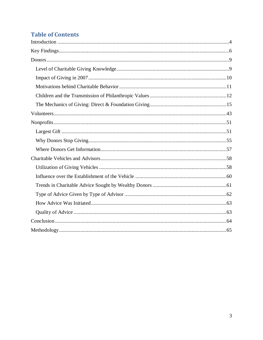### **Table of Contents**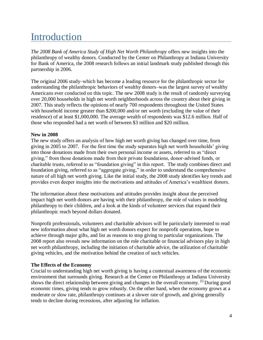# <span id="page-3-0"></span>**Introduction**

*The 2008 Bank of America Study of High Net Worth Philanthropy* offers new insights into the philanthropy of wealthy donors. Conducted by the Center on Philanthropy at Indiana University for Bank of America, the 2008 research follows an initial landmark study published through this partnership in 2006.

The original 2006 study–which has become a leading resource for the philanthropic sector for understanding the philanthropic behaviors of wealthy donors–was the largest survey of wealthy Americans ever conducted on this topic. The new 2008 study is the result of randomly surveying over 20,000 households in high net worth neighborhoods across the country about their giving in 2007. This study reflects the opinions of nearly 700 respondents throughout the United States with household income greater than \$200,000 and/or net worth (excluding the value of their residence) of at least \$1,000,000. The average wealth of respondents was \$12.6 million. Half of those who responded had a net worth of between \$3 million and \$20 million.

#### **New in 2008**

The new study offers an analysis of how high net worth giving has changed over time, from giving in 2005 to 2007. For the first time the study separates high net worth households' giving into those donations made from their own personal income or assets, referred to as "direct" giving," from those donations made from their private foundations, donor-advised funds, or charitable trusts, referred to as "foundation giving" in this report. The study combines direct and foundation giving, referred to as "aggregate giving," in order to understand the comprehensive nature of all high net worth giving. Like the initial study, the 2008 study identifies key trends and provides even deeper insights into the motivations and attitudes of America's wealthiest donors.

The information about these motivations and attitudes provides insight about the perceived impact high net worth donors are having with their philanthropy, the role of values in modeling philanthropy to their children, and a look at the kinds of volunteer services that expand their philanthropic reach beyond dollars donated.

Nonprofit professionals, volunteers and charitable advisors will be particularly interested to read new information about what high net worth donors expect for nonprofit operations, hope to achieve through major gifts, and list as reasons to stop giving to particular organizations. The 2008 report also reveals new information on the role charitable or financial advisors play in high net worth philanthropy, including the initiation of charitable advice, the utilization of charitable giving vehicles, and the motivation behind the creation of such vehicles.

#### **The Effects of the Economy**

Crucial to understanding high net worth giving is having a contextual awareness of the economic environment that surrounds giving. Research at the Center on Philanthropy at Indiana University shows the direct relationship between giving and changes in the overall economy. <sup>[i]</sup> During good economic times, giving tends to grow robustly. On the other hand, when the economy grows at a moderate or slow rate, philanthropy continues at a slower rate of growth, and giving generally tends to decline during recessions, after adjusting for inflation.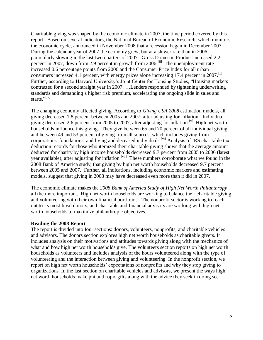Charitable giving was shaped by the economic climate in 2007, the time period covered by this report. Based on several indicators, the National Bureau of Economic Research, which monitors the economic cycle, announced in November 2008 that a recession began in December 2007. During the calendar year of 2007 the economy grew, but at a slower rate than in 2006, particularly slowing in the last two quarters of 2007. Gross Domestic Product increased 2.2 percent in 2007, down from 2.9 percent in growth from 2006.[ii] The unemployment rate increased 0.6 percentage points from 2006 and the Consumer Price Index for all urban consumers increased 4.1 percent, with energy prices alone increasing 17.4 percent in  $2007$ .<sup>[iii]</sup> Further, according to Harvard University's Joint Center for Housing Studies, "Housing markets" contracted for a second straight year in 2007. …Lenders responded by tightening underwriting standards and demanding a higher risk premium, accelerating the ongoing slide in sales and starts."<sup>[iv]</sup>

The changing economy affected giving. According to *Giving USA 2008* estimation models, all giving decreased 1.8 percent between 2005 and 2007, after adjusting for inflation. Individual giving decreased 2.6 percent from 2005 to 2007, after adjusting for inflation.<sup>[v]</sup> High net worth households influence this giving. They give between 65 and 70 percent of all individual giving, and between 49 and 53 percent of giving from all sources, which includes giving from corporations, foundations, and living and deceased individuals.<sup>[vi]</sup> Analysis of IRS charitable tax deduction records for those who itemized their charitable giving shows that the average amount deducted for charity by high income households decreased 9.7 percent from 2005 to 2006 (latest year available), after adjusting for inflation.<sup>[vii]</sup> These numbers corroborate what we found in the 2008 Bank of America study, that giving by high net worth households decreased 9.7 percent between 2005 and 2007. Further, all indications, including economic markers and estimating models, suggest that giving in 2008 may have decreased even more than it did in 2007.

The economic climate makes the *2008 Bank of America Study of High Net Worth Philanthropy*  all the more important. High net worth households are working to balance their charitable giving and volunteering with their own financial portfolios. The nonprofit sector is working to reach out to its most loyal donors, and charitable and financial advisors are working with high net worth households to maximize philanthropic objectives.

#### **Reading the 2008 Report**

<span id="page-4-0"></span>The report is divided into four sections: donors, volunteers, nonprofits, and charitable vehicles and advisors. The donors section explores high net worth households as charitable givers. It includes analysis on their motivations and attitudes towards giving along with the mechanics of what and how high net worth households give. The volunteers section reports on high net worth households as volunteers and includes analysis of the hours volunteered along with the type of volunteering and the interaction between giving and volunteering. In the nonprofit section, we report on high net worth households' expectations of nonprofits and why they stop giving to organizations. In the last section on charitable vehicles and advisors, we present the ways high net worth households make philanthropic gifts along with the advice they seek in doing so.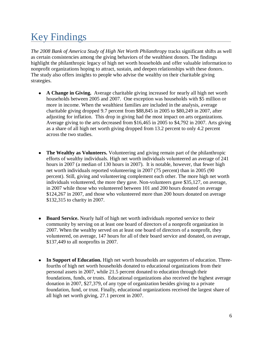# Key Findings

*The 2008 Bank of America Study of High Net Worth Philanthropy* tracks significant shifts as well as certain consistencies among the giving behaviors of the wealthiest donors. The findings highlight the philanthropic legacy of high net worth households and offer valuable information to nonprofit organizations hoping to attract, sustain, and deepen relationships with these donors. The study also offers insights to people who advise the wealthy on their charitable giving strategies.

- **A Change in Giving.** Average charitable giving increased for nearly all high net worth households between 2005 and 2007. One exception was households with \$5 million or more in income. When the wealthiest families are included in the analysis, average charitable giving dropped 9.7 percent from \$88,845 in 2005 to \$80,249 in 2007, after adjusting for inflation. This drop in giving had the most impact on arts organizations. Average giving to the arts decreased from \$16,465 in 2005 to \$4,792 in 2007. Arts giving as a share of all high net worth giving dropped from 13.2 percent to only 4.2 percent across the two studies.
- **The Wealthy as Volunteers.** Volunteering and giving remain part of the philanthropic efforts of wealthy individuals. High net worth individuals volunteered an average of 241 hours in 2007 (a median of 130 hours in 2007). It is notable, however, that fewer high net worth individuals reported volunteering in 2007 (75 percent) than in 2005 (90 percent). Still, giving and volunteering complement each other. The more high net worth individuals volunteered, the more they gave. Non-volunteers gave \$35,127, on average, in 2007 while those who volunteered between 101 and 200 hours donated on average \$124,267 in 2007, and those who volunteered more than 200 hours donated on average \$132,315 to charity in 2007.
- **Board Service.** Nearly half of high net worth individuals reported service to their  $\bullet$ community by serving on at least one board of directors of a nonprofit organization in 2007. When the wealthy served on at least one board of directors of a nonprofit, they volunteered, on average, 147 hours for all of their board service and donated, on average, \$137,449 to all nonprofits in 2007.
- **In Support of Education.** High net worth households are supporters of education. Threefourths of high net worth households donated to educational organizations from their personal assets in 2007, while 21.5 percent donated to education through their foundations, funds, or trusts. Educational organizations also received the highest average donation in 2007, \$27,379, of any type of organization besides giving to a private foundation, fund, or trust. Finally, educational organizations received the largest share of all high net worth giving, 27.1 percent in 2007.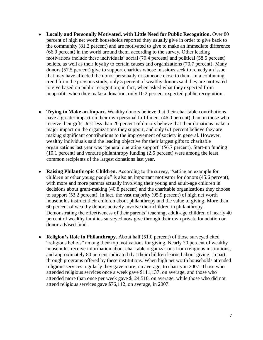- **Locally and Personally Motivated, with Little Need for Public Recognition.** Over 80 percent of high net worth households reported they usually give in order to give back to the community (81.2 percent) and are motivated to give to make an immediate difference (66.9 percent) in the world around them, according to the survey. Other leading motivations include these individuals' social (70.4 percent) and political (58.5 percent) beliefs, as well as their loyalty to certain causes and organizations (70.7 percent). Many donors (57.5 percent) give to support charities whose missions seek to remedy an issue that may have affected the donor personally or someone close to them. In a continuing trend from the previous study, only 5 percent of wealthy donors said they are motivated to give based on public recognition; in fact, when asked what they expected from nonprofits when they make a donation, only 10.2 percent expected public recognition.
- **Trying to Make an Impact.** Wealthy donors believe that their charitable contributions have a greater impact on their own personal fulfillment (46.0 percent) than on those who receive their gifts. Just less than 20 percent of donors believe that their donations make a major impact on the organizations they support, and only 6.1 percent believe they are making significant contributions to the improvement of society in general. However, wealthy individuals said the leading objective for their largest gifts to charitable organizations last year was "general operating support" (56.7 percent). Start-up funding (10.1 percent) and venture philanthropy funding (2.5 percent) were among the least common recipients of the largest donations last year.
- **Raising Philanthropic Children.** According to the survey, "setting an example for  $\bullet$ children or other young people" is also an important motivator for donors (45.6 percent), with more and more parents actually involving their young and adult-age children in decisions about grant-making (40.8 percent) and the charitable organizations they choose to support (53.2 percent). In fact, the vast majority (95.9 percent) of high net worth households instruct their children about philanthropy and the value of giving. More than 60 percent of wealthy donors actively involve their children in philanthropy. Demonstrating the effectiveness of their parents' teaching, adult-age children of nearly 40 percent of wealthy families surveyed now give through their own private foundation or donor-advised fund.
- **Religion's Role in Philanthropy.** About half (51.0 percent) of those surveyed cited "religious beliefs" among their top motivations for giving. Nearly 70 percent of wealthy households receive information about charitable organizations from religious institutions, and approximately 80 percent indicated that their children learned about giving, in part, through programs offered by these institutions. When high net worth households attended religious services regularly they gave more, on average, to charity in 2007. Those who attended religious services once a week gave \$111,137, on average, and those who attended more than once per week gave \$124,510, on average, while those who did not attend religious services gave \$76,112, on average, in 2007.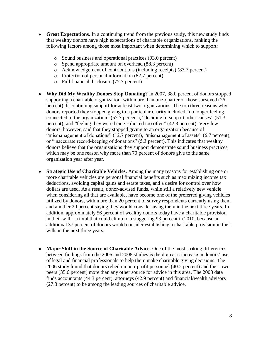- **Great Expectations.** In a continuing trend from the previous study, this new study finds that wealthy donors have high expectations of charitable organizations, ranking the following factors among those most important when determining which to support:
	- o Sound business and operational practices (93.0 percent)
	- o Spend appropriate amount on overhead (88.3 percent)
	- o Acknowledgement of contributions (including receipts) (83.7 percent)
	- o Protection of personal information (82.7 percent)
	- o Full financial disclosure (77.7 percent)
- **Why Did My Wealthy Donors Stop Donating?** In 2007, 38.0 percent of donors stopped supporting a charitable organization, with more than one-quarter of those surveyed (26 percent) discontinuing support for at least two organizations. The top three reasons why donors reported they stopped giving to a particular charity included "no longer feeling connected to the organization" (57.7 percent), "deciding to support other causes" (51.3 percent), and "feeling they were being solicited too often" (42.3 percent). Very few donors, however, said that they stopped giving to an organization because of "mismanagement of donations" (12.7 percent), "mismanagement of assets" (6.7 percent), or "inaccurate record-keeping of donations" (5.3 percent). This indicates that wealthy donors believe that the organizations they support demonstrate sound business practices, which may be one reason why more than 70 percent of donors give to the same organization year after year.
- **Strategic Use of Charitable Vehicles.** Among the many reasons for establishing one or  $\bullet$ more charitable vehicles are personal financial benefits such as maximizing income tax deductions, avoiding capital gains and estate taxes, and a desire for control over how dollars are used. As a result, donor-advised funds, while still a relatively new vehicle when considering all that are available, have become one of the preferred giving vehicles utilized by donors, with more than 20 percent of survey respondents currently using them and another 20 percent saying they would consider using them in the next three years. In addition, approximately 56 percent of wealthy donors today have a charitable provision in their will – a total that could climb to a staggering 93 percent in 2010, because an additional 37 percent of donors would consider establishing a charitable provision in their wills in the next three years.
- <span id="page-7-0"></span>**Major Shift in the Source of Charitable Advice.** One of the most striking differences  $\bullet$ between findings from the 2006 and 2008 studies is the dramatic increase in donors' use of legal and financial professionals to help them make charitable giving decisions. The 2006 study found that donors relied on non-profit personnel (40.2 percent) and their own peers (35.6 percent) more than any other source for advice in this area. The 2008 data finds accountants (44.3 percent), attorneys (42.9 percent) and financial/wealth advisors (27.8 percent) to be among the leading sources of charitable advice.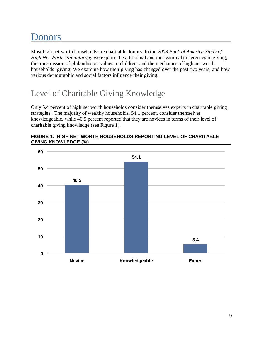# Donors

Most high net worth households are charitable donors. In the *2008 Bank of America Study of High Net Worth Philanthropy* we explore the attitudinal and motivational differences in giving, the transmission of philanthropic values to children, and the mechanics of high net worth households' giving. We examine how their giving has changed over the past two years, and how various demographic and social factors influence their giving.

# <span id="page-8-0"></span>Level of Charitable Giving Knowledge

Only 5.4 percent of high net worth households consider themselves experts in charitable giving strategies. The majority of wealthy households, 54.1 percent, consider themselves knowledgeable, while 40.5 percent reported that they are novices in terms of their level of charitable giving knowledge (see Figure 1).



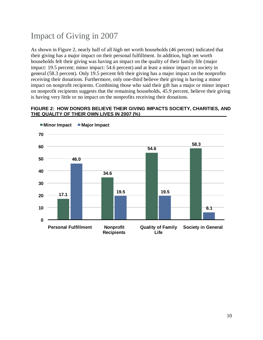# <span id="page-9-0"></span>Impact of Giving in 2007

As shown in Figure 2, nearly half of all high net worth households (46 percent) indicated that their giving has a major impact on their personal fulfillment. In addition, high net worth households felt their giving was having an impact on the quality of their family life (major impact: 19.5 percent; minor impact: 54.6 percent) and at least a minor impact on society in general (58.3 percent). Only 19.5 percent felt their giving has a major impact on the nonprofits receiving their donations. Furthermore, only one-third believe their giving is having a minor impact on nonprofit recipients. Combining those who said their gift has a major or minor impact on nonprofit recipients suggests that the remaining households, 45.9 percent, believe their giving is having very little or no impact on the nonprofits receiving their donations.

#### **FIGURE 2: HOW DONORS BELIEVE THEIR GIVING IMPACTS SOCIETY, CHARITIES, AND THE QUALITY OF THEIR OWN LIVES IN 2007 (%)**

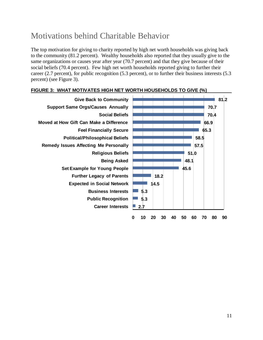# <span id="page-10-0"></span>Motivations behind Charitable Behavior

The top motivation for giving to charity reported by high net worth households was giving back to the community (81.2 percent). Wealthy households also reported that they usually give to the same organizations or causes year after year (70.7 percent) and that they give because of their social beliefs (70.4 percent). Few high net worth households reported giving to further their career (2.7 percent), for public recognition (5.3 percent), or to further their business interests (5.3 percent) (see Figure 3).



#### **FIGURE 3: WHAT MOTIVATES HIGH NET WORTH HOUSEHOLDS TO GIVE (%) \_\_\_\_ \_**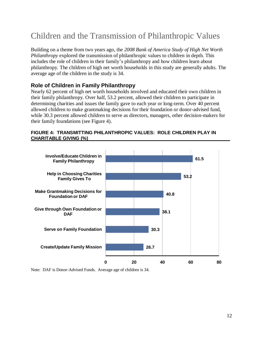# <span id="page-11-0"></span>Children and the Transmission of Philanthropic Values

Building on a theme from two years ago, the *2008 Bank of America Study of High Net Worth Philanthropy* explored the transmission of philanthropic values to children in depth. This includes the role of children in their family's philanthropy and how children learn about philanthropy. The children of high net worth households in this study are generally adults. The average age of the children in the study is 34.

#### **Role of Children in Family Philanthropy**

Nearly 62 percent of high net worth households involved and educated their own children in their family philanthropy. Over half, 53.2 percent, allowed their children to participate in determining charities and issues the family gave to each year or long-term. Over 40 percent allowed children to make grantmaking decisions for their foundation or donor-advised fund, while 30.3 percent allowed children to serve as directors, managers, other decision-makers for their family foundations (see Figure 4).



#### **FIGURE 4: TRANSMITTING PHILANTHROPIC VALUES: ROLE CHILDREN PLAY IN CHARITABLE GIVING (%)**

Note: DAF is Donor-Advised Funds. Average age of children is 34.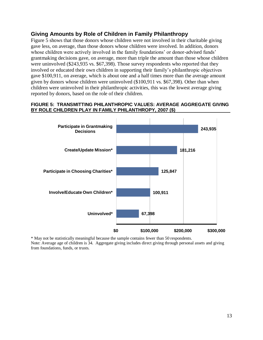#### **Giving Amounts by Role of Children in Family Philanthropy**

Figure 5 shows that those donors whose children were not involved in their charitable giving gave less, on average, than those donors whose children were involved. In addition, donors whose children were actively involved in the family foundations' or donor-advised funds' grantmaking decisions gave, on average, more than triple the amount than those whose children were uninvolved (\$243,935 vs. \$67,398). Those survey respondents who reported that they involved or educated their own children in supporting their family's philanthropic objectives gave \$100,911, on average, which is about one and a half times more than the average amount given by donors whose children were uninvolved (\$100,911 vs. \$67,398). Other than when children were uninvolved in their philanthropic activities, this was the lowest average giving reported by donors, based on the role of their children.

#### **FIGURE 5: TRANSMITTING PHILANTHROPIC VALUES: AVERAGE AGGREGATE GIVING BY ROLE CHILDREN PLAY IN FAMILY PHILANTHROPY, 2007 (\$)**



\* May not be statistically meaningful because the sample contains fewer than 50 respondents. Note: Average age of children is 34. Aggregate giving includes direct giving through personal assets and giving from foundations, funds, or trusts.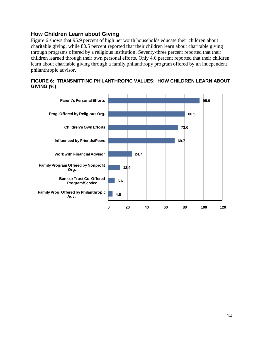#### **How Children Learn about Giving**

Figure 6 shows that 95.9 percent of high net worth households educate their children about charitable giving, while 80.5 percent reported that their children learn about charitable giving through programs offered by a religious institution. Seventy-three percent reported that their children learned through their own personal efforts. Only 4.6 percent reported that their children learn about charitable giving through a family philanthropy program offered by an independent philanthropic advisor.

|            | FIGURE 6: TRANSMITTING PHILANTHROPIC VALUES: HOW CHILDREN LEARN ABOUT |  |
|------------|-----------------------------------------------------------------------|--|
| GIVING (%) |                                                                       |  |

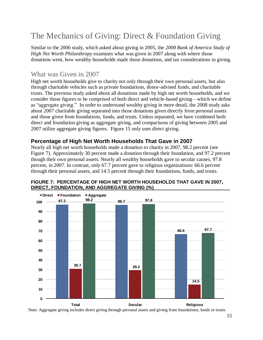# <span id="page-14-0"></span>The Mechanics of Giving: Direct & Foundation Giving

Similar to the 2006 study, which asked about giving in 2005, the *2008 Bank of America Study of High Net Worth Philanthropy* examines what was given in 2007 along with where those donations went, how wealthy households made those donations, and tax considerations in giving.

#### What was Given in 2007

High net worth households give to charity not only through their own personal assets, but also through charitable vehicles such as private foundations, donor-advised funds, and charitable trusts. The previous study asked about all donations made by high net worth households, and we consider those figures to be comprised of both direct and vehicle-based giving—which we define as "aggregate giving." In order to understand wealthy giving in more detail, the 2008 study asks about 2007 charitable giving separated into those donations given directly from personal assets and those given from foundations, funds, and trusts. Unless separated, we have combined both direct and foundation giving as aggregate giving, and comparisons of giving between 2005 and 2007 utilize aggregate giving figures. Figure 15 only uses direct giving.

#### **Percentage of High Net Worth Households That Gave in 2007**

Nearly all high net worth households made a donation to charity in 2007, 98.2 percent (see Figure 7). Approximately 30 percent made a donation through their foundation, and 97.2 percent though their own personal assets. Nearly all wealthy households gave to secular causes, 97.8 percent, in 2007. In contrast, only 67.7 percent gave to religious organizations: 66.6 percent through their personal assets, and 14.5 percent through their foundations, funds, and trusts.



#### **FIGURE 7: PERCENTAGE OF HIGH NET WORTH HOUSEHOLDS THAT GAVE IN 2007,**  DIRECT, FOUNDATION, AND AGGREGATE GIVING (%)

Note: Aggregate giving includes direct giving through personal assets and giving from foundations, funds or trusts.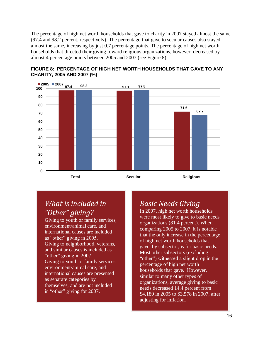The percentage of high net worth households that gave to charity in 2007 stayed almost the same (97.4 and 98.2 percent, respectively). The percentage that gave to secular causes also stayed almost the same, increasing by just 0.7 percentage points. The percentage of high net worth households that directed their giving toward religious organizations, however, decreased by almost 4 percentage points between 2005 and 2007 (see Figure 8).



**FIGURE 8: PERCENTAGE OF HIGH NET WORTH HOUSEHOLDS THAT GAVE TO ANY CHARITY, 2005 AND 2007 (%)\_\_\_\_\_\_\_\_\_\_\_\_\_\_\_\_\_\_\_\_\_\_\_\_\_\_\_\_\_\_\_\_\_\_\_\_\_\_\_\_\_\_\_\_\_\_\_\_\_\_\_**

### *What is included in "Other" giving?*

Giving to youth or family services, environment/animal care, and international causes are included as "other" giving in 2005. Giving to neighborhood, veterans, and similar causes is included as "other" giving in 2007. Giving to youth or family services, environment/animal care, and international causes are presented as separate categories by themselves, and are not included in "other" giving for 2007.

### *Basic Needs Giving*

In 2007, high net worth households were most likely to give to basic needs organizations (81.4 percent). When comparing 2005 to 2007, it is notable that the only increase in the percentage of high net worth households that gave, by subsector, is for basic needs. Most other subsectors (excluding "other") witnessed a slight drop in the percentage of high net worth households that gave. However, similar to many other types of organizations, average giving to basic needs decreased 14.4 percent from \$4,180 in 2005 to \$3,578 in 2007, after adjusting for inflation.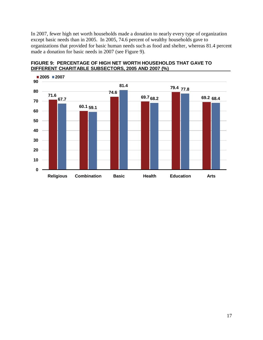In 2007, fewer high net worth households made a donation to nearly every type of organization except basic needs than in 2005. In 2005, 74.6 percent of wealthy households gave to organizations that provided for basic human needs such as food and shelter, whereas 81.4 percent made a donation for basic needs in 2007 (see Figure 9).



#### **FIGURE 9: PERCENTAGE OF HIGH NET WORTH HOUSEHOLDS THAT GAVE TO DIFFERENT CHARITABLE SUBSECTORS, 2005 AND 2007 (%)**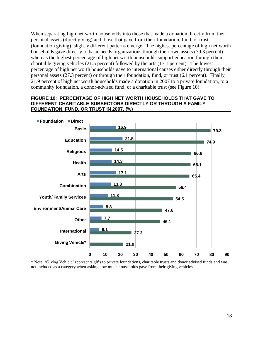When separating high net worth households into those that made a donation directly from their personal assets (direct giving) and those that gave from their foundation, fund, or trust (foundation giving), slightly different patterns emerge. The highest percentage of high net worth households gave directly to basic needs organizations through their own assets (79.3 percent) whereas the highest percentage of high net worth households support education through their charitable giving vehicles (21.5 percent) followed by the arts (17.1 percent). The lowest percentage of high net worth households gave to international causes either directly through their personal assets (27.3 percent) or through their foundation, fund, or trust (6.1 percent). Finally, 21.9 percent of high net worth households made a donation in 2007 to a private foundation, to a community foundation, a donor-advised fund, or a charitable trust (see Figure 10).

#### **FIGURE 10: PERCENTAGE OF HIGH NET WORTH HOUSEHOLDS THAT GAVE TO DIFFERENT CHARITABLE SUBSECTORS DIRECTLY OR THROUGH A FAMILY FOUNDATION, FUND, OR TRUST IN 2007, (%) \_\_\_\_ \_\_\_\_**



\* Note: ‗Giving Vehicle' represents gifts to private foundations, charitable trusts and donor advised funds and was not included as a category when asking how much households gave from their giving vehicles.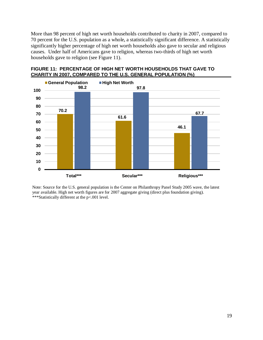More than 98 percent of high net worth households contributed to charity in 2007, compared to 70 percent for the U.S. population as a whole**,** a statistically significant difference. A statistically significantly higher percentage of high net worth households also gave to secular and religious causes. Under half of Americans gave to religion, whereas two-thirds of high net worth households gave to religion (see Figure 11).



#### **FIGURE 11: PERCENTAGE OF HIGH NET WORTH HOUSEHOLDS THAT GAVE TO CHARITY IN 2007, COMPARED TO THE U.S. GENERAL POPULATION (%)\_\_\_\_\_\_\_\_\_\_\_\_\_\_**

Note: Source for the U.S. general population is the Center on Philanthropy Panel Study 2005 wave, the latest year available. High net worth figures are for 2007 aggregate giving (direct plus foundation giving). \*\*\*Statistically different at the p<.001 level.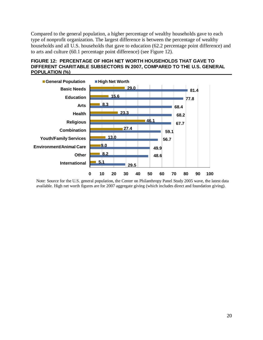Compared to the general population, a higher percentage of wealthy households gave to each type of nonprofit organization. The largest difference is between the percentage of wealthy households and all U.S. households that gave to education (62.2 percentage point difference) and to arts and culture (60.1 percentage point difference) (see Figure 12).





Note: Source for the U.S. general population, the Center on Philanthropy Panel Study 2005 wave, the latest data available. High net worth figures are for 2007 aggregate giving (which includes direct and foundation giving).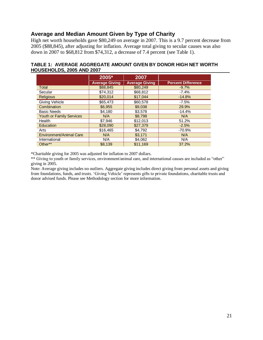#### **Average and Median Amount Given by Type of Charity**

High net worth households gave \$80,249 on average in 2007. This is a 9.7 percent decrease from 2005 (\$88,845), after adjusting for inflation. Average total giving to secular causes was also down in 2007 to \$68,812 from \$74,312, a decrease of 7.4 percent (see Table 1).

#### **TABLE 1: AVERAGE AGGREGATE AMOUNT GIVEN BY DONOR HIGH NET WORTH HOUSEHOLDS, 2005 AND 2007\_\_\_\_\_\_\_\_\_\_\_\_\_\_\_\_\_\_\_\_\_\_\_\_\_\_\_\_\_\_\_\_\_\_\_\_\_\_\_\_\_\_\_\_\_\_\_\_\_**

|                                 | 2005*                 | 2007                  |                           |
|---------------------------------|-----------------------|-----------------------|---------------------------|
|                                 | <b>Average Giving</b> | <b>Average Giving</b> | <b>Percent Difference</b> |
| Total                           | \$88,845              | \$80,249              | $-9.7%$                   |
| Secular                         | \$74,312              | \$68,812              | $-7.4%$                   |
| <b>Religious</b>                | \$20,014              | \$17,044              | $-14.8%$                  |
| Giving Vehicle                  | \$65,473              | \$60,578              | $-7.5%$                   |
| Combination                     | \$6,955               | \$9,038               | 29.9%                     |
| <b>Basic Needs</b>              | \$4,180               | \$3,578               | $-14.4%$                  |
| <b>Youth or Family Services</b> | N/A                   | \$8,798               | N/A                       |
| Health                          | \$7,946               | \$12,013              | 51.2%                     |
| Education                       | \$28,090              | \$27,379              | $-2.5%$                   |
| Arts                            | \$16,465              | \$4.792               | $-70.9%$                  |
| Environment/Animal Care         | N/A                   | \$3,171               | N/A                       |
| International                   | N/A                   | \$4,062               | N/A                       |
| Other**                         | \$8,139               | \$11,169              | 37.2%                     |

\*Charitable giving for 2005 was adjusted for inflation to 2007 dollars.

\*\* Giving to youth or family services, environment/animal care, and international causes are included as "other" giving in 2005.

Note: Average giving includes no outliers. Aggregate giving includes direct giving from personal assets and giving from foundations, funds, and trusts. ‗Giving Vehicle' represents gifts to private foundations, charitable trusts and donor advised funds. Please see Methodology section for more information.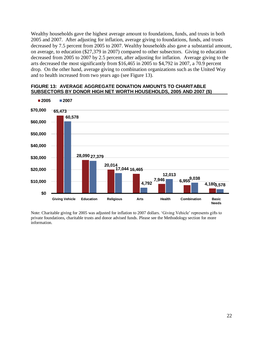Wealthy households gave the highest average amount to foundations, funds, and trusts in both 2005 and 2007. After adjusting for inflation, average giving to foundations, funds, and trusts decreased by 7.5 percent from 2005 to 2007. Wealthy households also gave a substantial amount, on average, to education (\$27,379 in 2007) compared to other subsectors. Giving to education decreased from 2005 to 2007 by 2.5 percent, after adjusting for inflation. Average giving to the arts decreased the most significantly from \$16,465 in 2005 to \$4,792 in 2007, a 70.9 percent drop. On the other hand, average giving to combination organizations such as the United Way and to health increased from two years ago (see Figure 13).



#### **FIGURE 13: AVERAGE AGGREGATE DONATION AMOUNTS TO CHARITABLE**  SUBSECTORS BY DONOR HIGH NET WORTH HOUSEHOLDS, 2005 AND 2007 (\$)

Note: Charitable giving for 2005 was adjusted for inflation to 2007 dollars. ‗Giving Vehicle' represents gifts to private foundations, charitable trusts and donor advised funds. Please see the Methodology section for more information.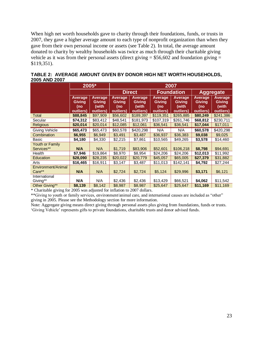When high net worth households gave to charity through their foundations, funds, or trusts in 2007, they gave a higher average amount to each type of nonprofit organization than when they gave from their own personal income or assets (see Table 2). In total, the average amount donated to charity by wealthy households was twice as much through their charitable giving vehicle as it was from their personal assets (direct giving  $= $56,602$  and foundation giving  $=$ \$119,351).

|                    |                          | 2005*                             |                                 |                                   |                                        | 2007                              |                                  |                                   |  |
|--------------------|--------------------------|-----------------------------------|---------------------------------|-----------------------------------|----------------------------------------|-----------------------------------|----------------------------------|-----------------------------------|--|
|                    |                          |                                   |                                 | <b>Direct</b>                     |                                        | <b>Foundation</b>                 |                                  | <b>Aggregate</b>                  |  |
|                    | Average<br>Giving<br>(no | Average<br><b>Giving</b><br>(with | Average<br><b>Giving</b><br>(no | Average<br><b>Giving</b><br>(with | <b>Average</b><br><b>Giving</b><br>(no | <b>Average</b><br>Giving<br>(with | Average<br><b>Giving</b><br>(no) | Average<br><b>Giving</b><br>(with |  |
|                    | outliers)                | outliers)                         | outliers)                       | outliers)                         | outliers)                              | outliers)                         | outliers)                        | outliers)                         |  |
| Total              | \$88,845                 | \$97,909                          | \$56,602                        | \$189,397                         | \$119,351                              | \$265,885                         | \$80,249                         | \$241,386                         |  |
| Secular            | \$74,312                 | \$83,412                          | \$48,541                        | \$181,973                         | \$107,319                              | \$261,746                         | \$68,812                         | \$230,711                         |  |
| <b>Religious</b>   | \$20,014                 | \$20,014                          | \$12,085                        | \$12,061                          | \$36,541                               | \$36,541                          | \$17,044                         | \$17,011                          |  |
| Giving Vehicle     | \$65,473                 | \$65,473                          | \$60,578                        | \$420,298                         | N/A                                    | N/A                               | \$60,578                         | \$420,298                         |  |
| Combination        | \$6,955                  | \$6,949                           | \$3,491                         | \$3,487                           | \$36,937                               | \$36,383                          | \$9,038                          | \$9,025                           |  |
| Basic              | \$4,180                  | \$4,330                           | \$2,215                         | \$7,861                           | \$10,565                               | \$49,265                          | \$3,578                          | \$14,460                          |  |
| Youth or Family    |                          |                                   |                                 |                                   |                                        |                                   |                                  |                                   |  |
| Services**         | N/A                      | N/A                               | \$1,719                         | \$83,906                          | \$52,601                               | \$106,218                         | \$8,798                          | \$94,691                          |  |
| Health             | \$7,946                  | \$19,864                          | \$8,970                         | \$8,954                           | \$24,206                               | \$24,206                          | \$12,013                         | \$11,992                          |  |
| Education          | \$28,090                 | \$28,235                          | \$20,022                        | \$20,779                          | \$45,057                               | \$65,005                          | \$27,379                         | \$31,882                          |  |
| Arts               | \$16,465                 | \$16,911                          | \$3,147                         | \$3,487                           | \$11,013                               | \$142,141                         | \$4,792                          | \$27,244                          |  |
| Environment/Animal |                          |                                   |                                 |                                   |                                        |                                   |                                  |                                   |  |
| Care**             | N/A                      | N/A                               | \$2,724                         | \$2,724                           | \$5,124                                | \$29,996                          | \$3,171                          | \$6,121                           |  |
| International      |                          |                                   |                                 |                                   |                                        |                                   |                                  |                                   |  |
| Giving**           | N/A                      | N/A                               | \$2,436                         | \$2,436                           | \$13,429                               | \$66,521                          | \$4,062                          | \$11,542                          |  |
| Other Giving**     | \$8,139                  | \$8,142                           | \$8,987                         | \$8,987                           | \$25,647                               | \$25,647                          | \$11,169                         | \$11,169                          |  |

|               | TABLE 2: AVERAGE AMOUNT GIVEN BY DONOR HIGH NET WORTH HOUSEHOLDS, |  |
|---------------|-------------------------------------------------------------------|--|
| 2005 AND 2007 |                                                                   |  |
|               |                                                                   |  |

\* Charitable giving for 2005 was adjusted for inflation to 2007 dollars.

\*\*Giving to youth or family services, environment/animal care, and international causes are included as "other" giving in 2005. Please see the Methodology section for more information.

Note: Aggregate giving means direct giving through personal assets plus giving from foundations, funds or trusts. ‗Giving Vehicle' represents gifts to private foundations, charitable trusts and donor advised funds.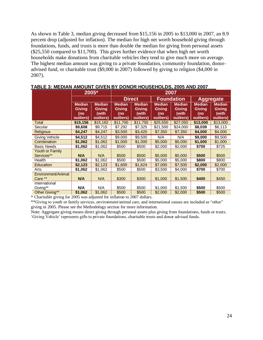As shown in Table 3, median giving decreased from \$15,156 in 2005 to \$13,000 in 2007, an 8.9 percent drop (adjusted for inflation). The median for high net worth household giving through foundations, funds, and trusts is more than double the median for giving from personal assets (\$25,550 compared to \$11,700). This gives further evidence that when high net worth households make donations from charitable vehicles they tend to give much more on average. The highest median amount was giving to a private foundation, community foundation, donoradvised fund, or charitable trust (\$9,000 in 2007) followed by giving to religion (\$4,000 in 2007).

|                                      | 2005*                                       |                                                      | 2007                                        |                                               |                                                    |                                                      |                                                    |                                               |
|--------------------------------------|---------------------------------------------|------------------------------------------------------|---------------------------------------------|-----------------------------------------------|----------------------------------------------------|------------------------------------------------------|----------------------------------------------------|-----------------------------------------------|
|                                      |                                             |                                                      | <b>Direct</b>                               |                                               | <b>Foundation</b>                                  |                                                      | <b>Aggregate</b>                                   |                                               |
|                                      | <b>Median</b><br>Giving<br>(no<br>outliers) | <b>Median</b><br><b>Giving</b><br>(with<br>outliers) | <b>Median</b><br>Giving<br>(no<br>outliers) | <b>Median</b><br>Giving<br>(with<br>outliers) | <b>Median</b><br><b>Giving</b><br>(no<br>outliers) | <b>Median</b><br><b>Giving</b><br>(with<br>outliers) | <b>Median</b><br><b>Giving</b><br>(no<br>outliers) | <b>Median</b><br>Giving<br>(with<br>outliers) |
| Total                                | \$15,156                                    | \$15,182                                             | \$11,700                                    | \$11,750                                      | \$25,550                                           | \$27,050                                             | \$13,000                                           | \$13,000                                      |
| Secular                              | \$9,608                                     | \$9,715                                              | \$7,292                                     | \$7,325                                       | \$21,500                                           | \$24,000                                             | \$8,039                                            | \$8,113                                       |
| <b>Religious</b>                     | \$4,247                                     | \$4,247                                              | \$3,500                                     | \$3,420                                       | \$7,350                                            | \$7,350                                              | \$4,000                                            | \$4,000                                       |
| Giving Vehicle                       | \$4,512                                     | \$4,512                                              | \$9,000                                     | \$9,500                                       | N/A                                                | N/A                                                  | \$9,000                                            | \$9,500                                       |
| Combination                          | \$1,062                                     | \$1,062                                              | \$1,000                                     | \$1,000                                       | \$5,000                                            | \$5,000                                              | \$1,000                                            | \$1,000                                       |
| <b>Basic Needs</b>                   | \$1,062                                     | \$1,062                                              | \$500                                       | \$500                                         | \$2,000                                            | \$2,000                                              | \$700                                              | \$725                                         |
| <b>Youth or Family</b><br>Services** | <b>N/A</b>                                  | N/A                                                  | \$500                                       | \$500                                         | \$5,000                                            | \$5,000                                              | \$500                                              | \$500                                         |
| Health                               | \$1,062                                     | \$1,062                                              | \$500                                       | \$500                                         | \$5,000                                            | \$5,000                                              | \$800                                              | \$800                                         |
| Education                            | \$2,123                                     | \$2,123                                              | \$1,600                                     | \$1,624                                       | \$7,000                                            | \$7,500                                              | \$2,000                                            | \$2,000                                       |
| Arts                                 | \$1,062                                     | \$1,062                                              | \$500                                       | \$500                                         | \$3,500                                            | \$4,000                                              | \$700                                              | \$700                                         |
| Environment/Animal<br>Care **        | N/A                                         | N/A                                                  | \$300                                       | \$300                                         | \$1,000                                            | \$1,500                                              | \$400                                              | \$450                                         |
| International<br>Giving**            | N/A                                         | N/A                                                  | \$500                                       | \$500                                         | \$1,000                                            | \$1,500                                              | \$500                                              | \$500                                         |
| Other Giving**                       | \$1,062                                     | \$1,062                                              | \$500                                       | \$500                                         | \$2,000                                            | \$2,000                                              | \$500                                              | \$500                                         |

**TABLE 3: MEDIAN AMOUNT GIVEN BY DONOR HOUSEHOLDS, 2005 AND 2007\_\_\_**

\* Charitable giving for 2005 was adjusted for inflation to 2007 dollars.

\*\*Giving to youth or family services, environment/animal care, and international causes are included as "other" giving in 2005. Please see the Methodology section for more information.

Note: Aggregate giving means direct giving through personal assets plus giving from foundations, funds or trusts. ‗Giving Vehicle' represents gifts to private foundations, charitable trusts and donor advised funds.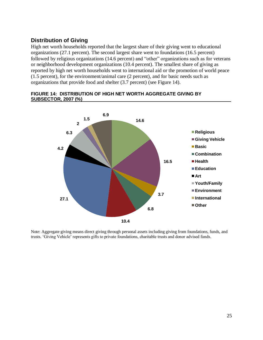#### **Distribution of Giving**

High net worth households reported that the largest share of their giving went to educational organizations (27.1 percent). The second largest share went to foundations (16.5 percent) followed by religious organizations (14.6 percent) and "other" organizations such as for veterans or neighborhood development organizations (10.4 percent). The smallest share of giving as reported by high net worth households went to international aid or the promotion of world peace (1.5 percent), for the environment/animal care (2 percent), and for basic needs such as organizations that provide food and shelter (3.7 percent) (see Figure 14).



#### **FIGURE 14: DISTRIBUTION OF HIGH NET WORTH AGGREGATE GIVING BY SUBSECTOR, 2007 (%)\_ \_\_**

Note: Aggregate giving means direct giving through personal assets including giving from foundations, funds, and trusts. ‗Giving Vehicle' represents gifts to private foundations, charitable trusts and donor advised funds.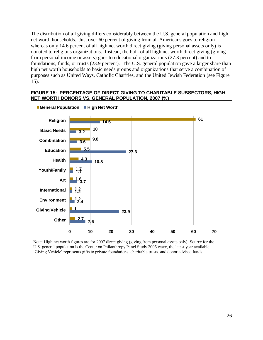The distribution of all giving differs considerably between the U.S. general population and high net worth households. Just over 60 percent of giving from all Americans goes to religion whereas only 14.6 percent of all high net worth direct giving (giving personal assets only) is donated to religious organizations. Instead, the bulk of all high net worth direct giving (giving from personal income or assets) goes to educational organizations (27.3 percent) and to foundations, funds, or trusts (23.9 percent). The U.S. general population gave a larger share than high net worth households to basic needs groups and organizations that serve a combination of purposes such as United Ways, Catholic Charities, and the United Jewish Federation (see Figure 15).

#### **FIGURE 15: PERCENTAGE OF DIRECT GIVING TO CHARITABLE SUBSECTORS, HIGH NET WORTH DONORS VS. GENERAL POPULATION, 2007 (%)**



**General Population High Net Worth**

Note: High net worth figures are for 2007 direct giving (giving from personal assets only). Source for the U.S. general population is the Center on Philanthropy Panel Study 2005 wave, the latest year available. ‗Giving Vehicle' represents gifts to private foundations, charitable trusts. and donor advised funds.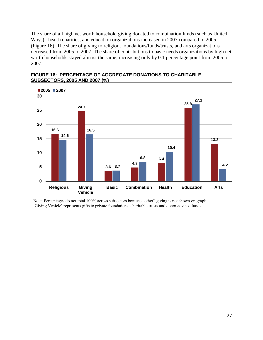The share of all high net worth household giving donated to combination funds (such as United Ways), health charities, and education organizations increased in 2007 compared to 2005 (Figure 16). The share of giving to religion, foundations/funds/trusts, and arts organizations decreased from 2005 to 2007. The share of contributions to basic needs organizations by high net worth households stayed almost the same, increasing only by 0.1 percentage point from 2005 to 2007.



**FIGURE 16: PERCENTAGE OF AGGREGATE DONATIONS TO CHARITABLE SUBSECTORS, 2005 AND 2007 (%)\_\_\_\_\_\_**

Note: Percentages do not total 100% across subsectors because "other" giving is not shown on graph. ‗Giving Vehicle' represents gifts to private foundations, charitable trusts and donor advised funds.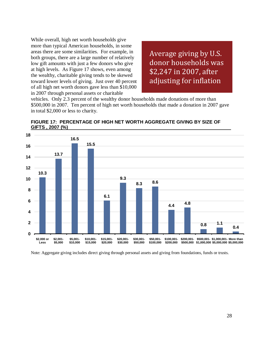While overall, high net worth households give more than typical American households, in some areas there are some similarities. For example, in both groups, there are a large number of relatively low gift amounts with just a few donors who give at high levels. As Figure 17 shows, even among the wealthy, charitable giving tends to be skewed toward lower levels of giving. Just over 40 percent of all high net worth donors gave less than \$10,000 in 2007 through personal assets or charitable

Average giving by U.S. donor households was \$2,247 in 2007, after adjusting for inflation

vehicles. Only 2.3 percent of the wealthy donor households made donations of more than \$500,000 in 2007. Ten percent of high net worth households that made a donation in 2007 gave in total \$2,000 or less to charity.



**FIGURE 17: PERCENTAGE OF HIGH NET WORTH AGGREGATE GIVING BY SIZE OF GIFTS , 2007 (%) \_**

Note: Aggregate giving includes direct giving through personal assets and giving from foundations, funds or trusts.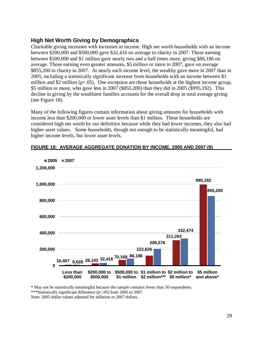#### **High Net Worth Giving by Demographics**

Charitable giving increases with increases in income. High net worth households with an income between \$200,000 and \$500,000 gave \$32,416 on average to charity in 2007. Those earning between \$500,000 and \$1 million gave nearly two and a half times more, giving \$86,186 on average. Those earning even greater amounts, \$5 million or more in 2007, gave on average \$855,200 to charity in 2007. At nearly each income level, the wealthy gave more in 2007 than in 2005, including a statistically significant increase from households with an income between \$1 million and \$2 million ( $p < 0.05$ ). One exception are those households at the highest income group, \$5 million or more, who gave less in 2007 (\$855,200) than they did in 2005 (\$995,192). This decline in giving by the wealthiest families accounts for the overall drop in total average giving (see Figure 18).

Many of the following figures contain information about giving amounts for households with income less than \$200,000 or lower asset levels than \$1 million. These households are considered high net worth by our definition because while they had lower incomes, they also had higher asset values. Some households, though not enough to be statistically meaningful, had higher income levels, but lower asset levels.



#### **FIGURE 18: AVERAGE AGGREGATE DONATION BY INCOME, 2005 AND 2007 (\$)**

\* May not be statistically meaningful because the sample contains fewer than 50 respondents.

\*\*\*Statistically significant difference (p<.05) from 2005 to 2007.

Note: 2005 dollar values adjusted for inflation to 2007 dollars.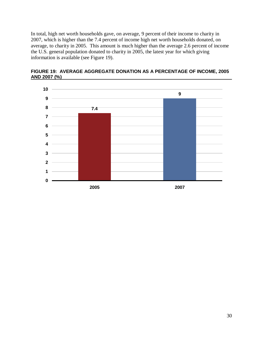In total, high net worth households gave, on average, 9 percent of their income to charity in 2007, which is higher than the 7.4 percent of income high net worth households donated, on average, to charity in 2005. This amount is much higher than the average 2.6 percent of income the U.S. general population donated to charity in 2005, the latest year for which giving information is available (see Figure 19).



**FIGURE 19: AVERAGE AGGREGATE DONATION AS A PERCENTAGE OF INCOME, 2005 AND 2007 (%)**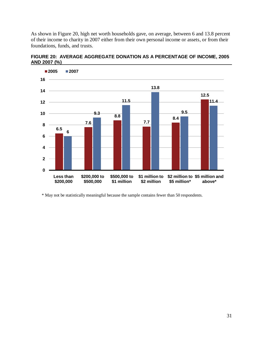As shown in Figure 20, high net worth households gave, on average, between 6 and 13.8 percent of their income to charity in 2007 either from their own personal income or assets, or from their foundations, funds, and trusts.



**FIGURE 20: AVERAGE AGGREGATE DONATION AS A PERCENTAGE OF INCOME, 2005 AND 2007 (%)**

\* May not be statistically meaningful because the sample contains fewer than 50 respondents.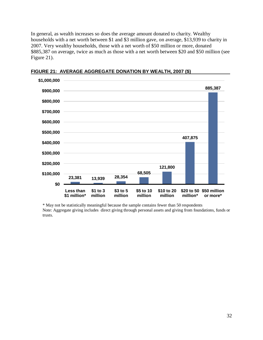In general, as wealth increases so does the average amount donated to charity. Wealthy households with a net worth between \$1 and \$3 million gave, on average, \$13,939 to charity in 2007. Very wealthy households, those with a net worth of \$50 million or more, donated \$885,387 on average, twice as much as those with a net worth between \$20 and \$50 million (see Figure 21).



FIGURE 21: AVERAGE AGGREGATE DONATION BY WEALTH, 2007 (\$)

\* May not be statistically meaningful because the sample contains fewer than 50 respondents Note: Aggregate giving includes direct giving through personal assets and giving from foundations, funds or trusts.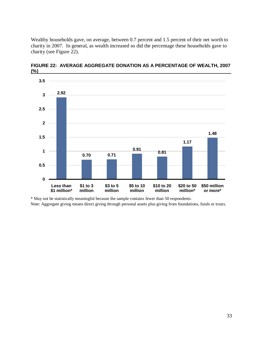Wealthy households gave, on average, between 0.7 percent and 1.5 percent of their net worth to charity in 2007. In general, as wealth increased so did the percentage these households gave to charity (see Figure 22).



**FIGURE 22: AVERAGE AGGREGATE DONATION AS A PERCENTAGE OF WEALTH, 2007 (%)\_ \_\_\_\_ \_\_\_\_\_\_\_**

\* May not be statistically meaningful because the sample contains fewer than 50 respondents. Note: Aggregate giving means direct giving through personal assets plus giving from foundations, funds or trusts.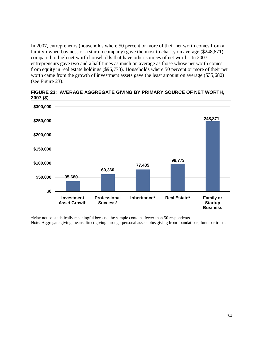In 2007, entrepreneurs (households where 50 percent or more of their net worth comes from a family-owned business or a startup company) gave the most to charity on average (\$248,871) compared to high net worth households that have other sources of net worth. In 2007, entrepreneurs gave two and a half times as much on average as those whose net worth comes from equity in real estate holdings (\$96,773). Households where 50 percent or more of their net worth came from the growth of investment assets gave the least amount on average (\$35,680) (see Figure 23).



#### **FIGURE 23: AVERAGE AGGREGATE GIVING BY PRIMARY SOURCE OF NET WORTH, 2007 (\$)\_\_\_\_\_\_\_\_\_\_\_\_\_\_\_\_\_\_\_\_\_\_\_\_\_\_\_\_\_\_\_\_\_\_\_\_\_\_\_\_\_\_\_ \_\_\_\_\_\_\_\_\_\_\_\_\_ \_**

\*May not be statistically meaningful because the sample contains fewer than 50 respondents. Note: Aggregate giving means direct giving through personal assets plus giving from foundations, funds or trusts.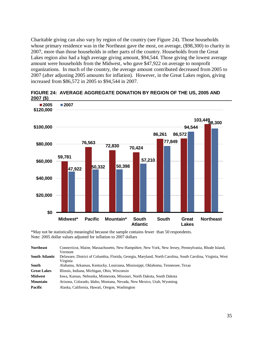Charitable giving can also vary by region of the country (see Figure 24). Those households whose primary residence was in the Northeast gave the most, on average, (\$98,300) to charity in 2007, more than those households in other parts of the country. Households from the Great Lakes region also had a high average giving amount, \$94,544. Those giving the lowest average amount were households from the Midwest, who gave \$47,922 on average to nonprofit organizations. In much of the country, the average amount contributed decreased from 2005 to 2007 (after adjusting 2005 amounts for inflation). However, in the Great Lakes region, giving increased from \$86,572 in 2005 to \$94,544 in 2007.



**FIGURE 24: AVERAGE AGGREGATE DONATION BY REGION OF THE US, 2005 AND 2007 (\$)\_\_\_\_\_\_\_\_\_\_\_\_\_\_\_\_\_\_\_\_\_\_\_\_\_\_\_\_\_\_\_\_\_\_\_\_\_\_\_\_\_\_\_\_\_ \_\_\_\_\_\_\_\_\_\_\_\_\_** 

\*May not be statistically meaningful because the sample contains fewer than 50 respondents. Note: 2005 dollar values adjusted for inflation to 2007 dollars

| <b>Northeast</b>      | Connecticut, Maine, Massachusetts, New Hampshire, New York, New Jersey, Pennsylvania, Rhode Island,<br>Vermont         |
|-----------------------|------------------------------------------------------------------------------------------------------------------------|
| <b>South Atlantic</b> | Delaware, District of Columbia, Florida, Georgia, Maryland, North Carolina, South Carolina, Virginia, West<br>Virginia |
| South                 | Alabama, Arkansas, Kentucky, Louisiana, Mississippi, Oklahoma, Tennessee, Texas                                        |
| <b>Great Lakes</b>    | Illinois, Indiana, Michigan, Ohio, Wisconsin                                                                           |
| <b>Midwest</b>        | Iowa, Kansas, Nebraska, Minnesota, Missouri, North Dakota, South Dakota                                                |
| <b>Mountain</b>       | Arizona, Colorado, Idaho, Montana, Nevada, New Mexico, Utah, Wyoming                                                   |
| Pacific               | Alaska, California, Hawaii, Oregon, Washington                                                                         |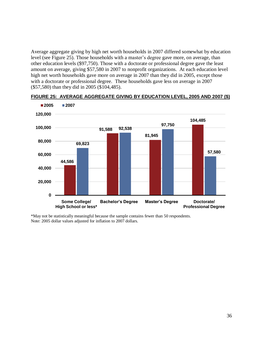Average aggregate giving by high net worth households in 2007 differed somewhat by education level (see Figure 25). Those households with a master's degree gave more, on average, than other education levels (\$97,750). Those with a doctorate or professional degree gave the least amount on average, giving \$57,580 in 2007 to nonprofit organizations. At each education level high net worth households gave more on average in 2007 than they did in 2005, except those with a doctorate or professional degree. These households gave less on average in 2007 (\$57,580) than they did in 2005 (\$104,485).



#### **FIGURE 25: AVERAGE AGGREGATE GIVING BY EDUCATION LEVEL, 2005 AND 2007 (\$)**

\*May not be statistically meaningful because the sample contains fewer than 50 respondents. Note: 2005 dollar values adjusted for inflation to 2007 dollars.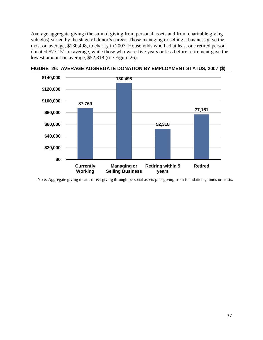Average aggregate giving (the sum of giving from personal assets and from charitable giving vehicles) varied by the stage of donor's career. Those managing or selling a business gave the most on average, \$130,498, to charity in 2007. Households who had at least one retired person donated \$77,151 on average, while those who were five years or less before retirement gave the lowest amount on average, \$52,318 (see Figure 26).



**FIGURE 26: AVERAGE AGGREGATE DONATION BY EMPLOYMENT STATUS, 2007 (\$)\_\_**

Note: Aggregate giving means direct giving through personal assets plus giving from foundations, funds or trusts.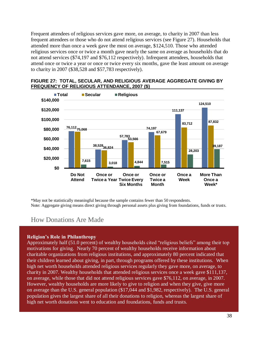Frequent attendees of religious services gave more, on average, to charity in 2007 than less frequent attendees or those who do not attend religious services (see Figure 27). Households that attended more than once a week gave the most on average, \$124,510. Those who attended religious services once or twice a month gave nearly the same on average as households that do not attend services (\$74,197 and \$76,112 respectively). Infrequent attendees, households that attend once or twice a year or once or twice every six months, gave the least amount on average to charity in 2007 (\$38,528 and \$57,783 respectively).





\*May not be statistically meaningful because the sample contains fewer than 50 respondents. Note: Aggregate giving means direct giving through personal assets plus giving from foundations, funds or trusts.

#### How Donations Are Made

#### **Religion's Role in Philanthropy**

Approximately half (51.0 percent) of wealthy households cited "religious beliefs" among their top motivations for giving. Nearly 70 percent of wealthy households receive information about charitable organizations from religious institutions, and approximately 80 percent indicated that their children learned about giving, in part, through programs offered by these institutions. When high net worth households attended religious services regularly they gave more, on average, to charity in 2007. Wealthy households that attended religious services once a week gave \$111,137, on average, while those that did not attend religious services gave \$76,112, on average, in 2007. However, wealthy households are more likely to give to religion and when they give, give more on average than the U.S. general population (\$17,044 and \$1,982, respectively). The U.S. general population gives the largest share of all their donations to religion, whereas the largest share of high net worth donations went to education and foundations, funds and trusts.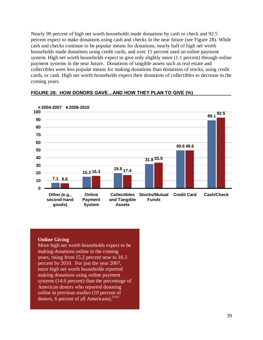Nearly 90 percent of high net worth households made donations by cash or check and 92.5 percent expect to make donations using cash and checks in the near future (see Figure 28). While cash and checks continue to be popular means for donations, nearly half of high net worth households made donations using credit cards, and over 15 percent used an online payment system. High net worth households expect to give only slightly more (1.1 percent) through online payment systems in the near future. Donations of tangible assets such as real estate and collectibles were less popular means for making donations than donations of stocks, using credit cards, or cash. High net worth households expect their donations of collectibles to decrease in the coming years.



#### **FIGURE 28: HOW DONORS GAVE…AND HOW THEY PLAN TO GIVE (%) \_\_\_\_\_\_**

#### **Online Giving**

More high net worth households expect to be making donations online in the coming years, rising from 15.2 percent now to 16.3 percent by 2010. For just the year 2007, more high net worth households reported making donations using online payment systems (14.6 percent) than the percentage of American donors who reported donating online in previous studies (10 percent of donors, 6 percent of all Americans).<sup>[viii]</sup>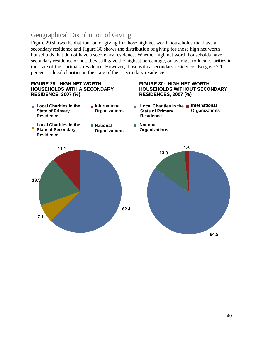### Geographical Distribution of Giving

Figure 29 shows the distribution of giving for those high net worth households that have a secondary residence and Figure 30 shows the distribution of giving for those high net worth households that do not have a secondary residence. Whether high net worth households have a secondary residence or not, they still gave the highest percentage, on average, to local charities in the state of their primary residence. However, those with a secondary residence also gave 7.1 percent to local charities in the state of their secondary residence.

**National** 

**Organizations**

### **FIGURE 29: HIGH NET WORTH FIGURE 30: HIGH NET WORTH RESIDENCE, 2007 (%)\_\_\_\_\_\_\_\_\_\_\_\_\_\_\_\_\_ RESIDENCES, 2007 (%) \_\_\_\_\_\_\_\_\_\_\_**

# **HOUSEHOLDS WITH A SECONDARY HOUSEHOLDS WITHOUT SECONDARY**

- **Local Charities in the International State of Primary Residence Organizations**
- **Local Charities in the State of Secondary Residence Organizations**

**Local Charities in the State of Primary Residence**

**National** 

**International Organizations**

> **84.5 13.3 1.6**

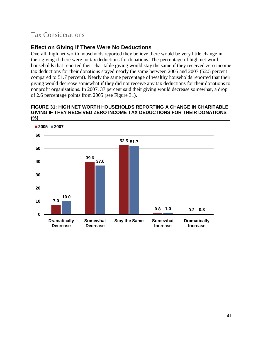### Tax Considerations

### **Effect on Giving If There Were No Deductions**

Overall, high net worth households reported they believe there would be very little change in their giving if there were no tax deductions for donations. The percentage of high net worth households that reported their charitable giving would stay the same if they received zero income tax deductions for their donations stayed nearly the same between 2005 and 2007 (52.5 percent compared to 51.7 percent). Nearly the same percentage of wealthy households reported that their giving would decrease somewhat if they did not receive any tax deductions for their donations to nonprofit organizations. In 2007, 37 percent said their giving would decrease somewhat, a drop of 2.6 percentage points from 2005 (see Figure 31).

#### **FIGURE 31: HIGH NET WORTH HOUSEHOLDS REPORTING A CHANGE IN CHARITABLE GIVING IF THEY RECEIVED ZERO INCOME TAX DEDUCTIONS FOR THEIR DONATIONS (%)**

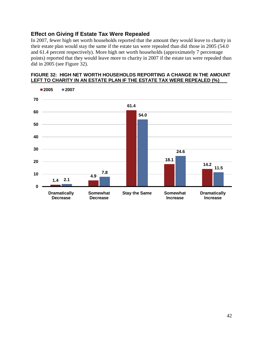#### **Effect on Giving If Estate Tax Were Repealed**

In 2007, fewer high net worth households reported that the amount they would leave to charity in their estate plan would stay the same if the estate tax were repealed than did those in 2005 (54.0 and 61.4 percent respectively). More high net worth households (approximately 7 percentage points) reported that they would leave more to charity in 2007 if the estate tax were repealed than did in 2005 (see Figure 32).

#### **FIGURE 32: HIGH NET WORTH HOUSEHOLDS REPORTING A CHANGE IN THE AMOUNT LEFT TO CHARITY IN AN ESTATE PLAN IF THE ESTATE TAX WERE REPEALED (%)**\_\_\_

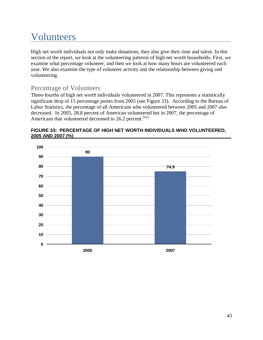# <span id="page-42-0"></span>Volunteers\_\_\_\_\_\_\_\_\_\_\_\_\_\_\_\_\_\_\_\_\_\_\_\_\_\_\_\_\_\_

High net worth individuals not only make donations, they also give their time and talent. In this section of the report, we look at the volunteering patterns of high net worth households. First, we examine what percentage volunteer, and then we look at how many hours are volunteered each year. We also examine the type of volunteer activity and the relationship between giving and volunteering.

### Percentage of Volunteers

Three-fourths of high net worth individuals volunteered in 2007. This represents a statistically significant drop of 15 percentage points from 2005 (see Figure 33). According to the Bureau of Labor Statistics, the percentage of all Americans who volunteered between 2005 and 2007 also decreased. In 2005, 28.8 percent of American volunteered but in 2007, the percentage of Americans that volunteered decreased to 26.2 percent.<sup>[iix]</sup>



#### **FIGURE 33: PERCENTAGE OF HIGH NET WORTH INDIVIDUALS WHO VOLUNTEERED, 2005 AND 2007 (%)\_\_\_\_\_\_\_\_\_\_\_\_\_\_\_\_\_\_\_\_\_\_\_\_\_\_\_\_\_\_\_\_\_\_\_\_\_\_\_\_\_\_\_\_\_\_\_\_\_\_\_\_\_\_\_\_\_\_\_\_**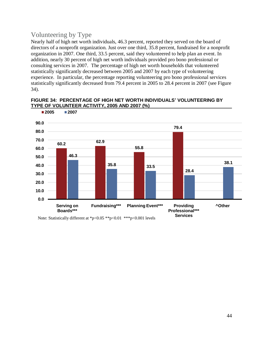### Volunteering by Type

Nearly half of high net worth individuals, 46.3 percent, reported they served on the board of directors of a nonprofit organization. Just over one third, 35.8 percent, fundraised for a nonprofit organization in 2007. One third, 33.5 percent, said they volunteered to help plan an event. In addition, nearly 30 percent of high net worth individuals provided pro bono professional or consulting services in 2007. The percentage of high net worth households that volunteered statistically significantly decreased between 2005 and 2007 by each type of volunteering experience. In particular, the percentage reporting volunteering pro bono professional services statistically significantly decreased from 79.4 percent in 2005 to 28.4 percent in 2007 (see Figure 34).

#### **FIGURE 34: PERCENTAGE OF HIGH NET WORTH INDIVIDUALS' VOLUNTEERING BY TYPE OF VOLUNTEER ACTIVITY, 2005 AND 2007 (%)**



Note: Statistically different at \*p<0.05 \*\*p<0.01 \*\*\*p<0.001 levels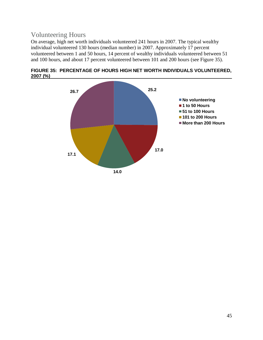### Volunteering Hours

On average, high net worth individuals volunteered 241 hours in 2007. The typical wealthy individual volunteered 130 hours (median number) in 2007. Approximately 17 percent volunteered between 1 and 50 hours, 14 percent of wealthy individuals volunteered between 51 and 100 hours, and about 17 percent volunteered between 101 and 200 hours (see Figure 35).



**FIGURE 35: PERCENTAGE OF HOURS HIGH NET WORTH INDIVIDUALS VOLUNTEERED, 2007 (%)**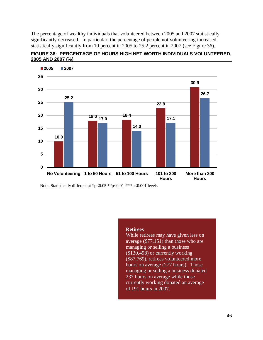The percentage of wealthy individuals that volunteered between 2005 and 2007 statistically significantly decreased. In particular, the percentage of people not volunteering increased statistically significantly from 10 percent in 2005 to 25.2 percent in 2007 (see Figure 36).





Note: Statistically different at \*p<0.05 \*\*p<0.01 \*\*\*p<0.001 levels

#### **Retirees**

While retirees may have given less on average (\$77,151) than those who are managing or selling a business (\$130,498) or currently working (\$87,769), retirees volunteered more hours on average (277 hours). Those managing or selling a business donated 237 hours on average while those currently working donated an average of 191 hours in 2007.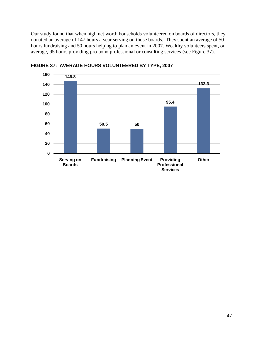Our study found that when high net worth households volunteered on boards of directors, they donated an average of 147 hours a year serving on those boards. They spent an average of 50 hours fundraising and 50 hours helping to plan an event in 2007. Wealthy volunteers spent, on average, 95 hours providing pro bono professional or consulting services (see Figure 37).



**FIGURE 37: AVERAGE HOURS VOLUNTEERED BY TYPE, 2007 \_\_\_\_\_\_\_\_\_\_\_**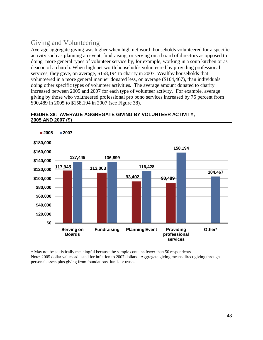### Giving and Volunteering

Average aggregate giving was higher when high net worth households volunteered for a specific activity such as planning an event, fundraising, or serving on a board of directors as opposed to doing more general types of volunteer service by, for example, working in a soup kitchen or as deacon of a church. When high net worth households volunteered by providing professional services, they gave, on average, \$158,194 to charity in 2007. Wealthy households that volunteered in a more general manner donated less, on average (\$104,467), than individuals doing other specific types of volunteer activities. The average amount donated to charity increased between 2005 and 2007 for each type of volunteer activity. For example, average giving by those who volunteered professional pro bono services increased by 75 percent from \$90,489 in 2005 to \$158,194 in 2007 (see Figure 38).



#### **FIGURE 38: AVERAGE AGGREGATE GIVING BY VOLUNTEER ACTIVITY, 2005 AND 2007 (\$)**

\* May not be statistically meaningful because the sample contains fewer than 50 respondents. Note: 2005 dollar values adjusted for inflation to 2007 dollars. Aggregate giving means direct giving through personal assets plus giving from foundations, funds or trusts.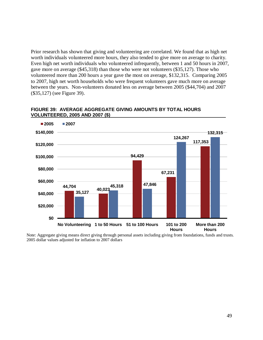Prior research has shown that giving and volunteering are correlated. We found that as high net worth individuals volunteered more hours, they also tended to give more on average to charity. Even high net worth individuals who volunteered infrequently, between 1 and 50 hours in 2007, gave more on average (\$45,318) than those who were not volunteers (\$35,127). Those who volunteered more than 200 hours a year gave the most on average, \$132,315. Comparing 2005 to 2007, high net worth households who were frequent volunteers gave much more on average between the years. Non-volunteers donated less on average between 2005 (\$44,704) and 2007 (\$35,127) (see Figure 39).



#### **FIGURE 39: AVERAGE AGGREGATE GIVING AMOUNTS BY TOTAL HOURS VOLUNTEERED, 2005 AND 2007 (\$) \_\_\_\_\_\_\_\_\_\_\_\_\_\_\_\_\_\_\_\_\_\_\_\_\_\_\_\_\_\_\_\_\_**

Note: Aggregate giving means direct giving through personal assets including giving from foundations, funds and trusts. 2005 dollar values adjusted for inflation to 2007 dollars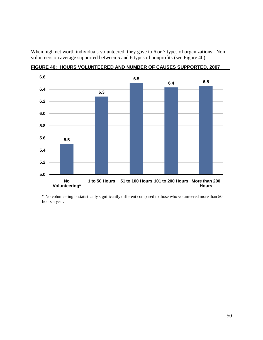When high net worth individuals volunteered, they gave to 6 or 7 types of organizations. Nonvolunteers on average supported between 5 and 6 types of nonprofits (see Figure 40).



**FIGURE 40: HOURS VOLUNTEERED AND NUMBER OF CAUSES SUPPORTED, 2007\_\_\_\_**

\* No volunteering is statistically significantly different compared to those who volunteered more than 50 hours a year.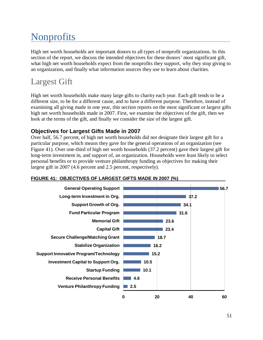# <span id="page-50-0"></span>Nonprofits

High net worth households are important donors to all types of nonprofit organizations. In this section of the report, we discuss the intended objectives for these donors' most significant gift, what high net worth households expect from the nonprofits they support, why they stop giving to an organization, and finally what information sources they use to learn about charities.

# <span id="page-50-1"></span>Largest Gift

High net worth households make many large gifts to charity each year. Each gift tends to be a different size, to be for a different cause, and to have a different purpose. Therefore, instead of examining all giving made in one year, this section reports on the most significant or largest gifts high net worth households made in 2007. First, we examine the objectives of the gift, then we look at the terms of the gift, and finally we consider the size of the largest gift.

#### **Objectives for Largest Gifts Made in 2007**

Over half, 56.7 percent, of high net worth households did not designate their largest gift for a particular purpose, which means they gave for the general operations of an organization (see Figure 41). Over one-third of high net worth households (37.2 percent) gave their largest gift for long-term investment in, and support of, an organization. Households were least likely to select personal benefits or to provide venture philanthropy funding as objectives for making their largest gift in 2007 (4.6 percent and 2.5 percent, respectively).



#### FIGURE 41: OBJECTIVES OF LARGEST GIFTS MADE IN 2007 (%)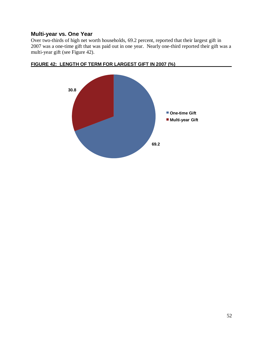#### **Multi-year vs. One Year**

Over two-thirds of high net worth households, 69.2 percent, reported that their largest gift in 2007 was a one-time gift that was paid out in one year. Nearly one-third reported their gift was a multi-year gift (see Figure 42).



#### FIGURE 42: LENGTH OF TERM FOR LARGEST GIFT IN 2007 (%)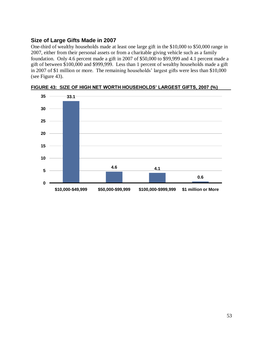#### **Size of Large Gifts Made in 2007**

One-third of wealthy households made at least one large gift in the \$10,000 to \$50,000 range in 2007, either from their personal assets or from a charitable giving vehicle such as a family foundation. Only 4.6 percent made a gift in 2007 of \$50,000 to \$99,999 and 4.1 percent made a gift of between \$100,000 and \$999,999. Less than 1 percent of wealthy households made a gift in 2007 of \$1 million or more. The remaining households' largest gifts were less than \$10,000 (see Figure 43).



FIGURE 43: SIZE OF HIGH NET WORTH HOUSEHOLDS' LARGEST GIFTS, 2007 (%)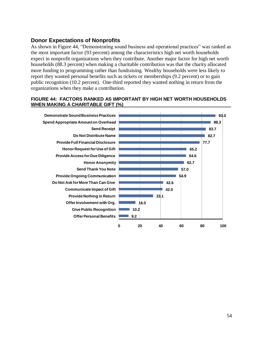#### **Donor Expectations of Nonprofits**

As shown in Figure 44, "Demonstrating sound business and operational practices" was ranked as the most important factor (93 percent) among the characteristics high net worth households expect in nonprofit organizations when they contribute. Another major factor for high net worth households (88.3 percent) when making a charitable contribution was that the charity allocated more funding to programming rather than fundraising. Wealthy households were less likely to report they wanted personal benefits such as tickets or memberships (9.2 percent) or to gain public recognition (10.2 percent). One-third reported they wanted nothing in return from the organizations when they make a contribution.

#### **FIGURE 44: FACTORS RANKED AS IMPORTANT BY HIGH NET WORTH HOUSEHOLDS** WHEN MAKING A CHARITABLE GIFT (%)

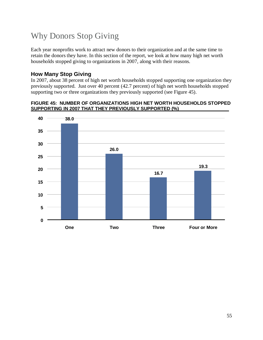# <span id="page-54-0"></span>Why Donors Stop Giving

Each year nonprofits work to attract new donors to their organization and at the same time to retain the donors they have. In this section of the report, we look at how many high net worth households stopped giving to organizations in 2007, along with their reasons.

#### **How Many Stop Giving**

In 2007, about 38 percent of high net worth households stopped supporting one organization they previously supported. Just over 40 percent (42.7 percent) of high net worth households stopped supporting two or three organizations they previously supported (see Figure 45).

#### **FIGURE 45: NUMBER OF ORGANIZATIONS HIGH NET WORTH HOUSEHOLDS STOPPED SUPPORTING IN 2007 THAT THEY PREVIOUSLY SUPPORTED (%)**

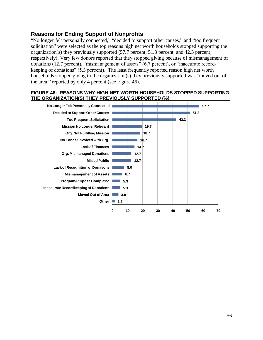#### **Reasons for Ending Support of Nonprofits**

"No longer felt personally connected," "decided to support other causes," and "too frequent solicitation" were selected as the top reasons high net worth households stopped supporting the organization(s) they previously supported (57.7 percent, 51.3 percent, and 42.3 percent, respectively). Very few donors reported that they stopped giving because of mismanagement of donations  $(12.7 \text{ percent})$ , "mismanagement of assets"  $(6.7 \text{ percent})$ , or "inaccurate recordkeeping of donations" (5.3 percent). The least frequently reported reason high net worth households stopped giving to the organization(s) they previously supported was "moved out of the area," reported by only 4 percent (see Figure 46).

#### **FIGURE 46: REASONS WHY HIGH NET WORTH HOUSEHOLDS STOPPED SUPPORTING**  THE ORGANIZATION(S) THEY PREVIOUSLY SUPPORTED (%)

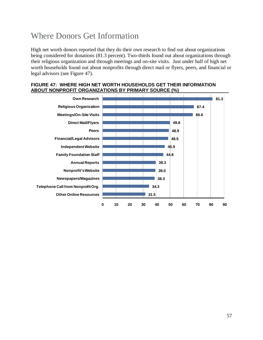# <span id="page-56-0"></span>Where Donors Get Information

High net worth donors reported that they do their own research to find out about organizations being considered for donations (81.3 percent). Two-thirds found out about organizations through their religious organization and through meetings and on-site visits. Just under half of high net worth households found out about nonprofits through direct mail or flyers, peers, and financial or legal advisors (see Figure 47).

#### **FIGURE 47: WHERE HIGH NET WORTH HOUSEHOLDS GET THEIR INFORMATION ABOUT NONPROFIT ORGANIZATIONS BY PRIMARY SOURCE (%)**

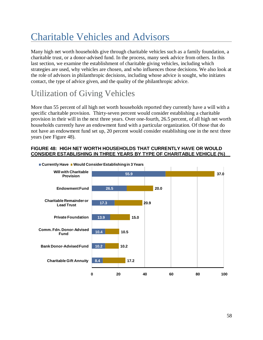# <span id="page-57-0"></span>Charitable Vehicles and Advisors\_\_\_\_\_\_\_\_\_\_\_\_

Many high net worth households give through charitable vehicles such as a family foundation, a charitable trust, or a donor-advised fund. In the process, many seek advice from others. In this last section, we examine the establishment of charitable giving vehicles, including which strategies are used, why vehicles are chosen, and who influences those decisions. We also look at the role of advisors in philanthropic decisions, including whose advice is sought, who initiates contact, the type of advice given, and the quality of the philanthropic advice.

# <span id="page-57-1"></span>Utilization of Giving Vehicles

More than 55 percent of all high net worth households reported they currently have a will with a specific charitable provision. Thirty-seven percent would consider establishing a charitable provision in their will in the next three years. Over one-fourth, 26.5 percent, of all high net worth households currently have an endowment fund with a particular organization. Of those that do not have an endowment fund set up, 20 percent would consider establishing one in the next three years (see Figure 48).

#### **FIGURE 48: HIGH NET WORTH HOUSEHOLDS THAT CURRENTLY HAVE OR WOULD CONSIDER ESTABLISHING IN THREE YEARS BY TYPE OF CHARITABLE VEHICLE (%)\_\_**

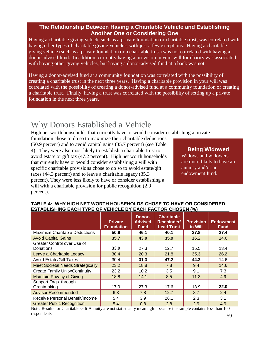#### **The Relationship Between Having a Charitable Vehicle and Establishing Another One or Considering One**

Having a charitable giving vehicle such as a private foundation or charitable trust, was correlated with having other types of charitable giving vehicles, with just a few exceptions. Having a charitable giving vehicle (such as a private foundation or a charitable trust) was not correlated with having a donor-advised fund. In addition, currently having a provision in your will for charity was associated with having other giving vehicles, but having a donor-advised fund at a bank was not.

Having a donor-advised fund at a community foundation was correlated with the possibility of creating a charitable trust in the next three years. Having a charitable provision in your will was correlated with the possibility of creating a donor-advised fund at a community foundation or creating a charitable trust. Finally, having a trust was correlated with the possibility of setting up a private foundation in the next three years.

### Why Donors Established a Vehicle

High net worth households that currently have or would consider establishing a private

foundation chose to do so to maximize their charitable deductions (50.9 percent) and to avoid capital gains (35.7 percent) (see Table 4). They were also most likely to establish a charitable trust to avoid estate or gift tax (47.2 percent). High net worth households that currently have or would consider establishing a will with specific charitable provisions chose to do so to avoid estate/gift taxes (44.3 percent) and to leave a charitable legacy (35.3 percent). They were less likely to have or consider establishing a will with a charitable provision for public recognition  $(2.9)$ percent).

#### **Being Widowed**

Widows and widowers are more likely to have an annuity and/or an endowment fund.

|                                          | <b>Private</b><br><b>Foundation</b> | Donor-<br><b>Advised</b><br><b>Fund</b> | <b>Charitable</b><br><b>Remainder/</b><br><b>Lead Trust</b> | <b>Provision</b><br>in Will | <b>Endowment</b><br><b>Fund</b> |
|------------------------------------------|-------------------------------------|-----------------------------------------|-------------------------------------------------------------|-----------------------------|---------------------------------|
| Maximize Charitable Deductions           | 50.9                                | 46.1                                    | 40.1                                                        | 27.8                        | 27.4                            |
| <b>Avoid Capital Gains</b>               | 35.7                                | 43.0                                    | 35.9                                                        | 16.2                        | 14.6                            |
| Greater Control over Use of              |                                     |                                         |                                                             |                             |                                 |
| Donations                                | 33.9                                | 27.3                                    | 12.7                                                        | 15.5                        | 13.4                            |
| Leave a Charitable Legacy                | 30.4                                | 20.3                                    | 21.8                                                        | 35.3                        | 26.2                            |
| <b>Avoid Estate/Gift Taxes</b>           | 30.4                                | 31.3                                    | 47.2                                                        | 44.3                        | 14.6                            |
| <b>Meet Societal Needs Strategically</b> | 23.2                                | 18.8                                    | 7.8                                                         | 9.4                         | 14.6                            |
| <b>Create Family Unity/Continuity</b>    | 23.2                                | 10.2                                    | 3.5                                                         | 9.1                         | 7.3                             |
| <b>Maintain Privacy of Giving</b>        | 18.8                                | 14.1                                    | 8.5                                                         | 11.3                        | 4.9                             |
| Support Orgs. through<br>Grantmaking     | 17.9                                | 27.3                                    | 17.6                                                        | 13.9                        | 22.0                            |
| <b>Advisor Recommended</b>               | 6.3                                 | 7.8                                     | 12.7                                                        | 8.7                         | 2.4                             |
| Receive Personal Benefit/Income          | 5.4                                 | 3.9                                     | 26.1                                                        | 2.3                         | 3.1                             |
| <b>Greater Public Recognition</b>        | 5.4                                 | 0.8                                     | 2.8                                                         | 2.9                         | 4.9                             |

#### **TABLE 4: WHY HIGH NET WORTH HOUSEHOLDS CHOSE TO HAVE OR CONSIDERED ESTABLISHING EACH TYPE OF VEHICLE BY EACH FACTOR CHOSEN (%)**

Note: Results for Charitable Gift Annuity are not statistically meaningful because the sample contains less than 100 respondents.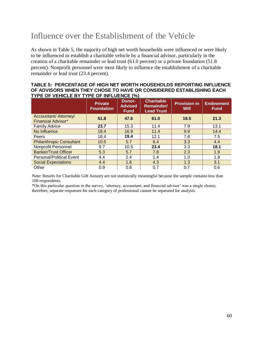# <span id="page-59-0"></span>Influence over the Establishment of the Vehicle

As shown in Table 5, the majority of high net worth households were influenced or were likely to be influenced to establish a charitable vehicle by a financial advisor, particularly in the creation of a charitable remainder or lead trust (61.0 percent) or a private foundation (51.8 percent). Nonprofit personnel were most likely to influence the establishment of a charitable remainder or lead trust (23.4 percent).

#### **TABLE 5: PERCENTAGE OF HIGH NET WORTH HOUSEHOLDS REPORTING INFLUENCE OF ADVISORS WHEN THEY CHOSE TO HAVE OR CONSIDERED ESTABLISHING EACH** TYPE OF VEHICLE BY TYPE OF INFLUENCE (%)

|                                                           | <b>Private</b><br><b>Foundation</b> | Donor-<br><b>Advised</b><br><b>Fund</b> | <b>Charitable</b><br><b>Remainder/</b><br><b>Lead Trust</b> | <b>Provision in</b><br><b>Will</b> | <b>Endowment</b><br><b>Fund</b> |
|-----------------------------------------------------------|-------------------------------------|-----------------------------------------|-------------------------------------------------------------|------------------------------------|---------------------------------|
| <b>Accountant/ Attorney/</b><br><b>Financial Advisor*</b> | 51.8                                | 47.6                                    | 61.0                                                        | 18.5                               | 21.3                            |
| <b>Family Advice</b>                                      | 23.7                                | 15.3                                    | 11.4                                                        | 7.9                                | 13.1                            |
| No Influence                                              | 18.4                                | 16.9                                    | 11.4                                                        | 9.9                                | 14.4                            |
| <b>Peers</b>                                              | 18.4                                | 19.4                                    | 12.1                                                        | 7.6                                | 7.5                             |
| <b>Philanthropic Consultant</b>                           | 10.5                                | 5.7                                     | 6.4                                                         | 3.3                                | 4.4                             |
| Nonprofit Personnel                                       | 9.7                                 | 10.5                                    | 23.4                                                        | 3.3                                | 18.1                            |
| <b>Banker/Trust Officer</b>                               | 5.3                                 | 5.7                                     | 7.8                                                         | 2.3                                | 1.9                             |
| Personal/Political Event                                  | 4.4                                 | 2.4                                     | 1.4                                                         | 1.0                                | 1.9                             |
| <b>Social Expectations</b>                                | 4.4                                 | 1.6                                     | 4.3                                                         | 1.3                                | 3.1                             |
| Other                                                     | 0.9                                 | 0.8                                     | 0.7                                                         | 0.7                                | 0.6                             |

Note: Results for Charitable Gift Annuity are not statistically meaningful because the sample contains less than 100 respondents.

<span id="page-59-1"></span>\*On this particular question in the survey, ‗attorney, accountant, and financial advisor' was a single choice; therefore, separate responses for each category of professional cannot be separated for analysis.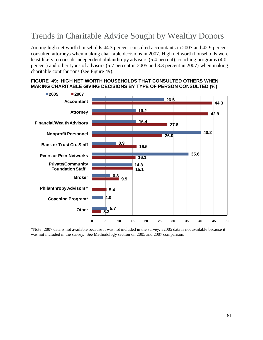# Trends in Charitable Advice Sought by Wealthy Donors

Among high net worth households 44.3 percent consulted accountants in 2007 and 42.9 percent consulted attorneys when making charitable decisions in 2007. High net worth households were least likely to consult independent philanthropy advisors (5.4 percent), coaching programs (4.0 percent) and other types of advisors (5.7 percent in 2005 and 3.3 percent in 2007) when making charitable contributions (see Figure 49).





<span id="page-60-0"></span>\*Note: 2007 data is not available because it was not included in the survey. #2005 data is not available because it was not included in the survey. See Methodology section on 2005 and 2007 comparison.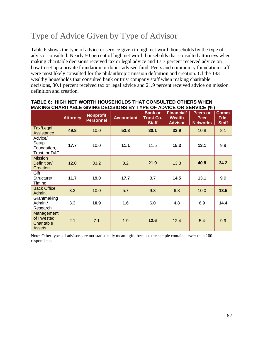# Type of Advice Given by Type of Advisor

Table 6 shows the type of advice or service given to high net worth households by the type of advisor consulted. Nearly 50 percent of high net worth households that consulted attorneys when making charitable decisions received tax or legal advice and 17.7 percent received advice on how to set up a private foundation or donor-advised fund. Peers and community foundation staff were most likely consulted for the philanthropic mission definition and creation. Of the 183 wealthy households that consulted bank or trust company staff when making charitable decisions, 30.1 percent received tax or legal advice and 21.9 percent received advice on mission definition and creation.

|                                                          | <b>Attorney</b> | <b>Nonprofit</b><br><b>Personnel</b> | <b>Accountant</b> | <b>Bank or</b><br><b>Trust Co.</b><br><b>Staff</b> | <b>Financial/</b><br><b>Wealth</b><br><b>Advisor</b> | Peers or<br><b>Peer</b><br><b>Networks</b> | <b>Comm</b><br>Fdn.<br><b>Staff</b> |
|----------------------------------------------------------|-----------------|--------------------------------------|-------------------|----------------------------------------------------|------------------------------------------------------|--------------------------------------------|-------------------------------------|
| Tax/Legal<br><b>Assistance</b>                           | 49.8            | 10.0                                 | 53.8              | 30.1                                               | 32.9                                                 | 10.8                                       | 8.1                                 |
| Advice/<br>Setup<br>Foundation,<br>Trust, or DAF         | 17.7            | 10.0                                 | 11.1              | 11.5                                               | 15.3                                                 | 13.1                                       | 9.9                                 |
| <b>Mission</b><br>Definition/<br>Creation                | 12.0            | 33.2                                 | 8.2               | 21.9                                               | 13.3                                                 | 40.8                                       | 34.2                                |
| Gift<br>Structure/<br>Timing                             | 11.7            | 19.0                                 | 17.7              | 8.7                                                | 14.5                                                 | 13.1                                       | 9.9                                 |
| <b>Back Office</b><br>Admin.                             | 3.3             | 10.0                                 | 5.7               | 9.3                                                | 6.8                                                  | 10.0                                       | 13.5                                |
| Grantmaking<br>Admin./<br>Research                       | 3.3             | 10.9                                 | 1.6               | 6.0                                                | 4.8                                                  | 6.9                                        | 14.4                                |
| Management<br>of Invested<br>Charitable<br><b>Assets</b> | 2.1             | 7.1                                  | 1.9               | 12.6                                               | 12.4                                                 | 5.4                                        | 9.9                                 |

#### **TABLE 6: HIGH NET WORTH HOUSEHOLDS THAT CONSULTED OTHERS WHEN MAKING CHARITABLE GIVING DECISIONS BY TYPE OF ADVICE OR SERVICE (%)**

<span id="page-61-0"></span>Note: Other types of advisors are not statistically meaningful because the sample contains fewer than 100 respondents.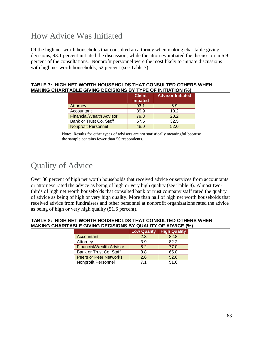## How Advice Was Initiated

Of the high net worth households that consulted an attorney when making charitable giving decisions, 93.1 percent initiated the discussion, while the attorney initiated the discussion in 6.9 percent of the consultations. Nonprofit personnel were the most likely to initiate discussions with high net worth households, 52 percent (see Table 7).

| TABLE 7:  HIGH NET WORTH HOUSEHOLDS THAT CONSULTED OTHERS WHEN      |  |
|---------------------------------------------------------------------|--|
| <b>MAKING CHARITABLE GIVING DECISIONS BY TYPE OF INITIATION (%)</b> |  |

|                            | <b>Client</b><br><b>Initiated</b> | <b>Advisor Initiated</b> |
|----------------------------|-----------------------------------|--------------------------|
| <b>Attorney</b>            | 93.1                              | 6.9                      |
| Accountant                 | 89.9                              | 10.2                     |
| Financial/Wealth Advisor   | 79.8                              | 20.2                     |
| Bank or Trust Co. Staff    | 67.5                              | 32.5                     |
| <b>Nonprofit Personnel</b> | 48.0                              | 52.0                     |

Note: Results for other types of advisors are not statistically meaningful because the sample contains fewer than 50 respondents.

## <span id="page-62-0"></span>Quality of Advice

Over 80 percent of high net worth households that received advice or services from accountants or attorneys rated the advice as being of high or very high quality (see Table 8). Almost twothirds of high net worth households that consulted bank or trust company staff rated the quality of advice as being of high or very high quality. More than half of high net worth households that received advice from fundraisers and other personnel at nonprofit organizations rated the advice as being of high or very high quality (51.6 percent).

| ITABLE GIVING DECISIONS BY QUALITY OF ADVICE (%): |                                 |     |                            |  |
|---------------------------------------------------|---------------------------------|-----|----------------------------|--|
|                                                   |                                 |     | Low Quality   High Quality |  |
|                                                   | Accountant                      | 2.3 | 82.8                       |  |
|                                                   | Attorney                        | 3.9 | 82.2                       |  |
|                                                   | <b>Financial/Wealth Advisor</b> | 5.2 | 77.0                       |  |
|                                                   | Bank or Trust Co. Staff         | 8.8 | 65.0                       |  |
|                                                   | <b>Peers or Peer Networks</b>   | 2.6 | 52.6                       |  |
|                                                   | Nonprofit Personnel             | 71  | 51.6                       |  |

#### **TABLE 8: HIGH NET WORTH HOUSEHOLDS THAT CONSULTED OTHERS WHEN MAKING CHAR**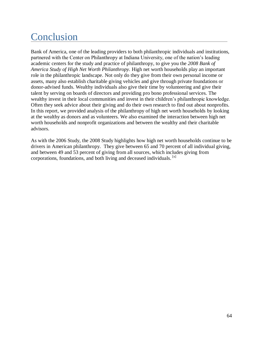# <span id="page-63-0"></span>Conclusion

Bank of America, one of the leading providers to both philanthropic individuals and institutions, partnered with the Center on Philanthropy at Indiana University, one of the nation's leading academic centers for the study and practice of philanthropy, to give you the *2008 Bank of America Study of High Net Worth Philanthropy.* High net worth households play an important role in the philanthropic landscape. Not only do they give from their own personal income or assets, many also establish charitable giving vehicles and give through private foundations or donor-advised funds. Wealthy individuals also give their time by volunteering and give their talent by serving on boards of directors and providing pro bono professional services. The wealthy invest in their local communities and invest in their children's philanthropic knowledge. Often they seek advice about their giving and do their own research to find out about nonprofits. In this report, we provided analysis of the philanthropy of high net worth households by looking at the wealthy as donors and as volunteers. We also examined the interaction between high net worth households and nonprofit organizations and between the wealthy and their charitable advisors.

As with the 2006 Study, the 2008 Study highlights how high net worth households continue to be drivers in American philanthropy. They give between 65 and 70 percent of all individual giving, and between 49 and 53 percent of giving from all sources, which includes giving from corporations, foundations, and both living and deceased individuals. [x]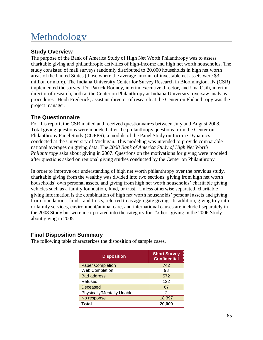# <span id="page-64-0"></span>Methodology

#### **Study Overview**

The purpose of the Bank of America Study of High Net Worth Philanthropy was to assess charitable giving and philanthropic activities of high-income and high net worth households. The study consisted of mail surveys randomly distributed to 20,000 households in high net worth areas of the United States (those where the average amount of investable net assets were \$3 million or more). The Indiana University Center for Survey Research in Bloomington, IN (CSR) implemented the survey. Dr. Patrick Rooney, interim executive director, and Una Osili, interim director of research, both at the Center on Philanthropy at Indiana University, oversaw analysis procedures. Heidi Frederick, assistant director of research at the Center on Philanthropy was the project manager.

#### **The Questionnaire**

For this report, the CSR mailed and received questionnaires between July and August 2008. Total giving questions were modeled after the philanthropy questions from the Center on Philanthropy Panel Study (COPPS), a module of the Panel Study on Income Dynamics conducted at the University of Michigan. This modeling was intended to provide comparable national averages on giving data. The *2008 Bank of America Study of High Net Worth Philanthropy* asks about giving in 2007. Questions on the motivations for giving were modeled after questions asked on regional giving studies conducted by the Center on Philanthropy.

In order to improve our understanding of high net worth philanthropy over the previous study, charitable giving from the wealthy was divided into two sections: giving from high net worth households' own personal assets, and giving from high net worth households' charitable giving vehicles such as a family foundation, fund, or trust. Unless otherwise separated, charitable giving information is the combination of high net worth households' personal assets and giving from foundations, funds, and trusts, referred to as aggregate giving. In addition, giving to youth or family services, environment/animal care, and international causes are included separately in the 2008 Study but were incorporated into the category for "other" giving in the 2006 Study about giving in 2005.

#### **Final Disposition Summary**

The following table characterizes the disposition of sample cases.

| <b>Disposition</b>         | <b>Short Survey</b><br><b>Confidential</b> |
|----------------------------|--------------------------------------------|
| <b>Paper Completion</b>    | 742                                        |
| <b>Web Completion</b>      | 98                                         |
| <b>Bad address</b>         | 572                                        |
| Refused                    | 122                                        |
| Deceased                   | 67                                         |
| Physically/Mentally Unable | 2                                          |
| No response                | 18,397                                     |
| Total                      | 20,000                                     |